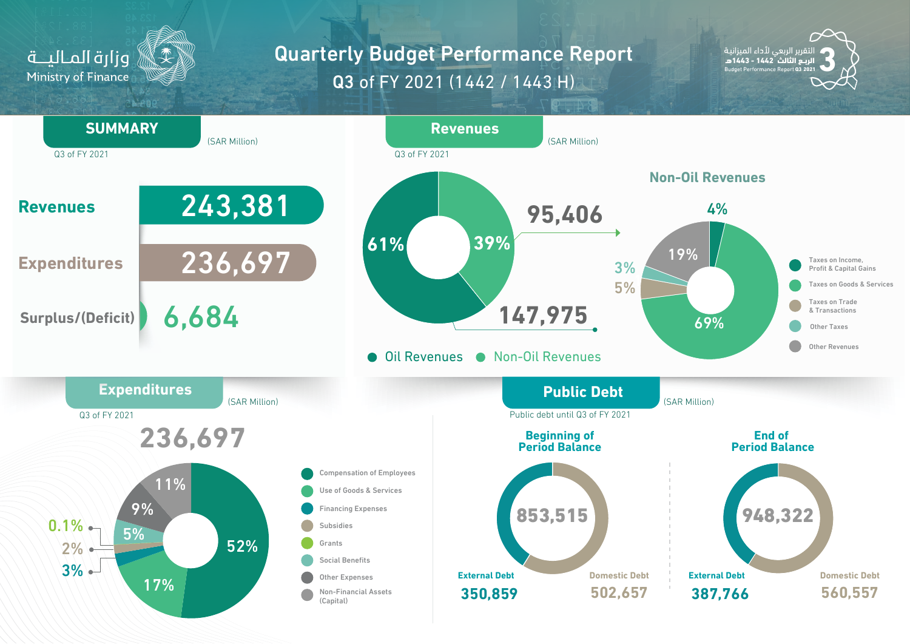

## Q3 of FY 2021 (1442 / 1443NH) **Quarterly Budget Performance Report**